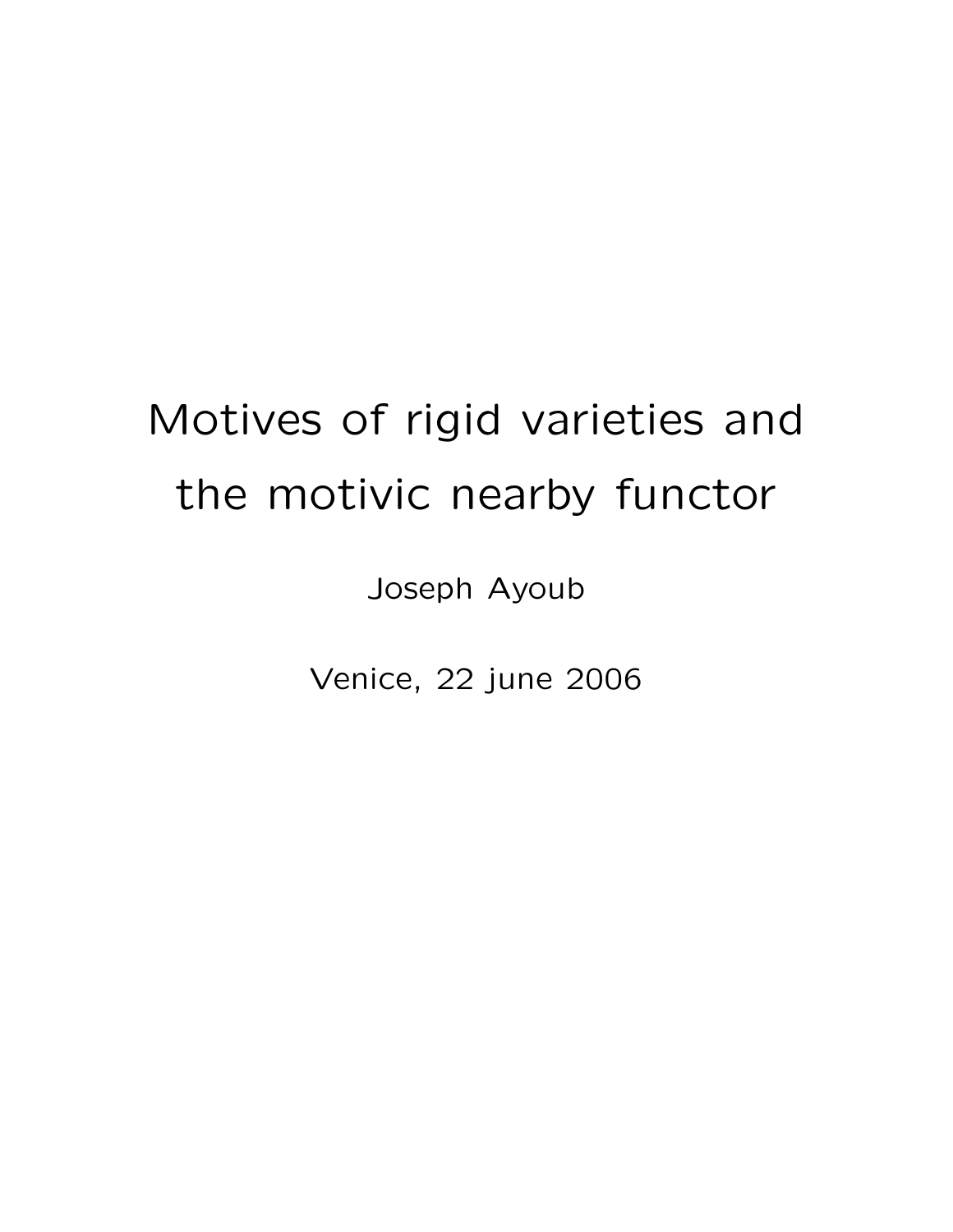# Motives of rigid varieties and the motivic nearby functor

Joseph Ayoub

Venice, 22 june 2006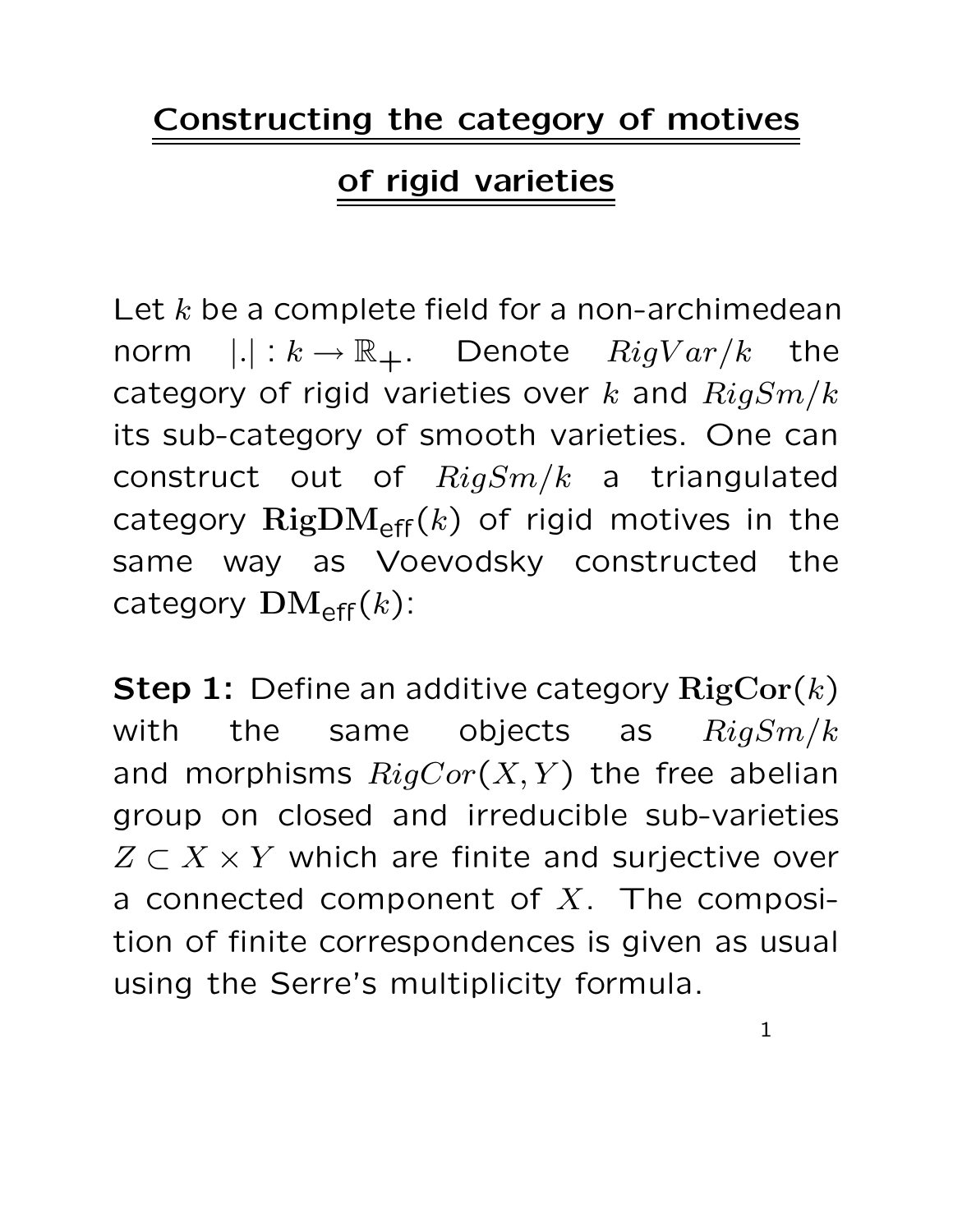#### Constructing the category of motives

### of rigid varieties

Let  $k$  be a complete field for a non-archimedean norm  $|.| : k \to \mathbb{R}_+$ . Denote  $Rightar/k$  the category of rigid varieties over k and  $RigSm/k$ its sub-category of smooth varieties. One can construct out of  $RigSm/k$  a triangulated category  $\text{RigDM}_{\text{eff}}(k)$  of rigid motives in the same way as Voevodsky constructed the category  $\mathrm{DM}_{\mathrm{eff}}(k)$ :

**Step 1:** Define an additive category  $\mathrm{RigCor}(k)$ with the same objects as  $RigSm/k$ and morphisms  $RigCor(X, Y)$  the free abelian group on closed and irreducible sub-varieties  $Z \subset X \times Y$  which are finite and surjective over a connected component of  $X$ . The composition of finite correspondences is given as usual using the Serre's multiplicity formula.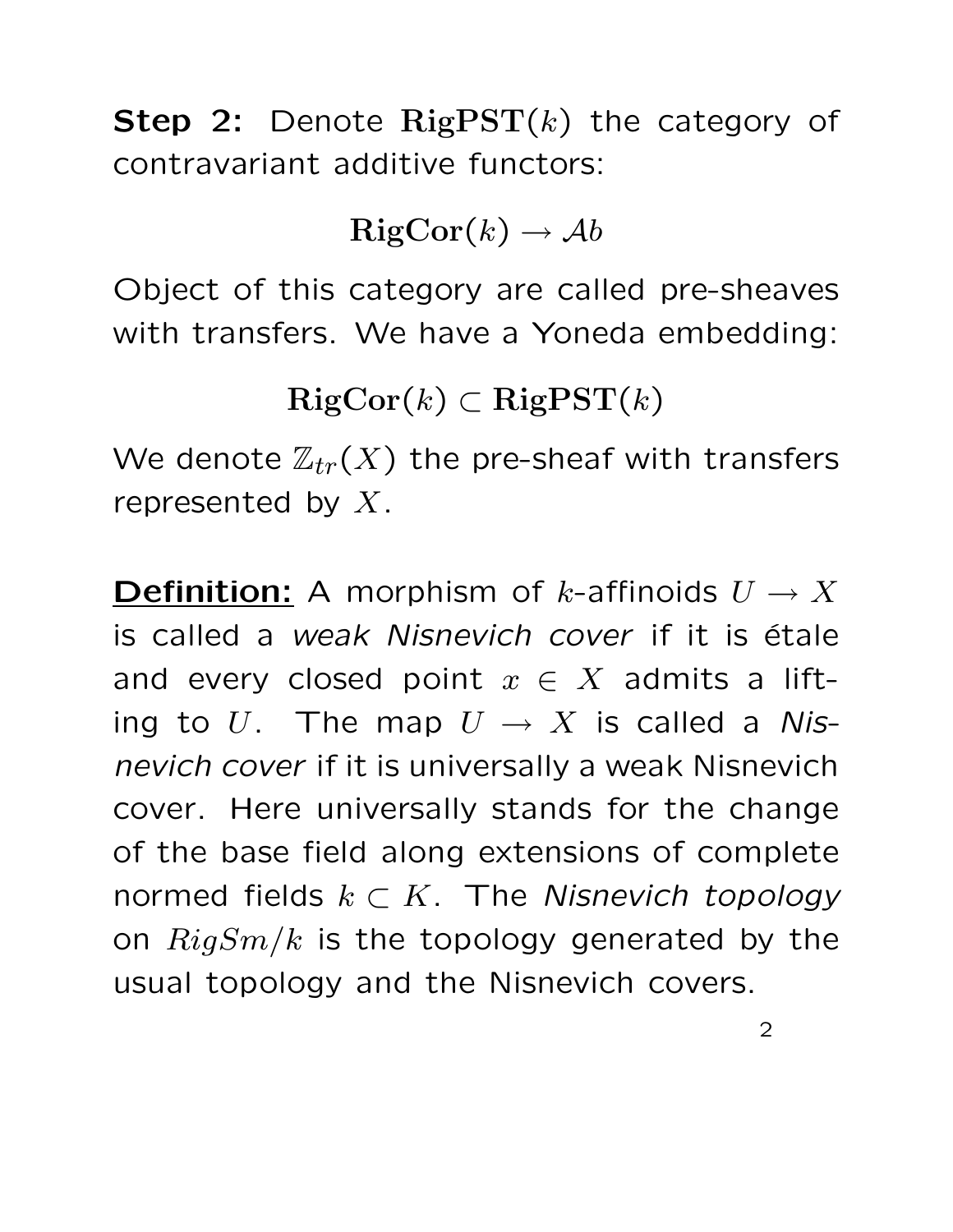**Step 2:** Denote  $\text{RigPST}(k)$  the category of contravariant additive functors:

 $RigCor(k) \rightarrow Ab$ 

Object of this category are called pre-sheaves with transfers. We have a Yoneda embedding:

 $RigCor(k) \subset RigPST(k)$ 

We denote  $\mathbb{Z}_{tr}(X)$  the pre-sheaf with transfers represented by  $X$ .

**Definition:** A morphism of k-affinoids  $U \to X$ is called a *weak Nisnevich cover* if it is étale and every closed point  $x \in X$  admits a lifting to U. The map  $U \to X$  is called a Nisnevich cover if it is universally a weak Nisnevich cover. Here universally stands for the change of the base field along extensions of complete normed fields  $k \subset K$ . The Nisnevich topology on  $RigSm/k$  is the topology generated by the usual topology and the Nisnevich covers.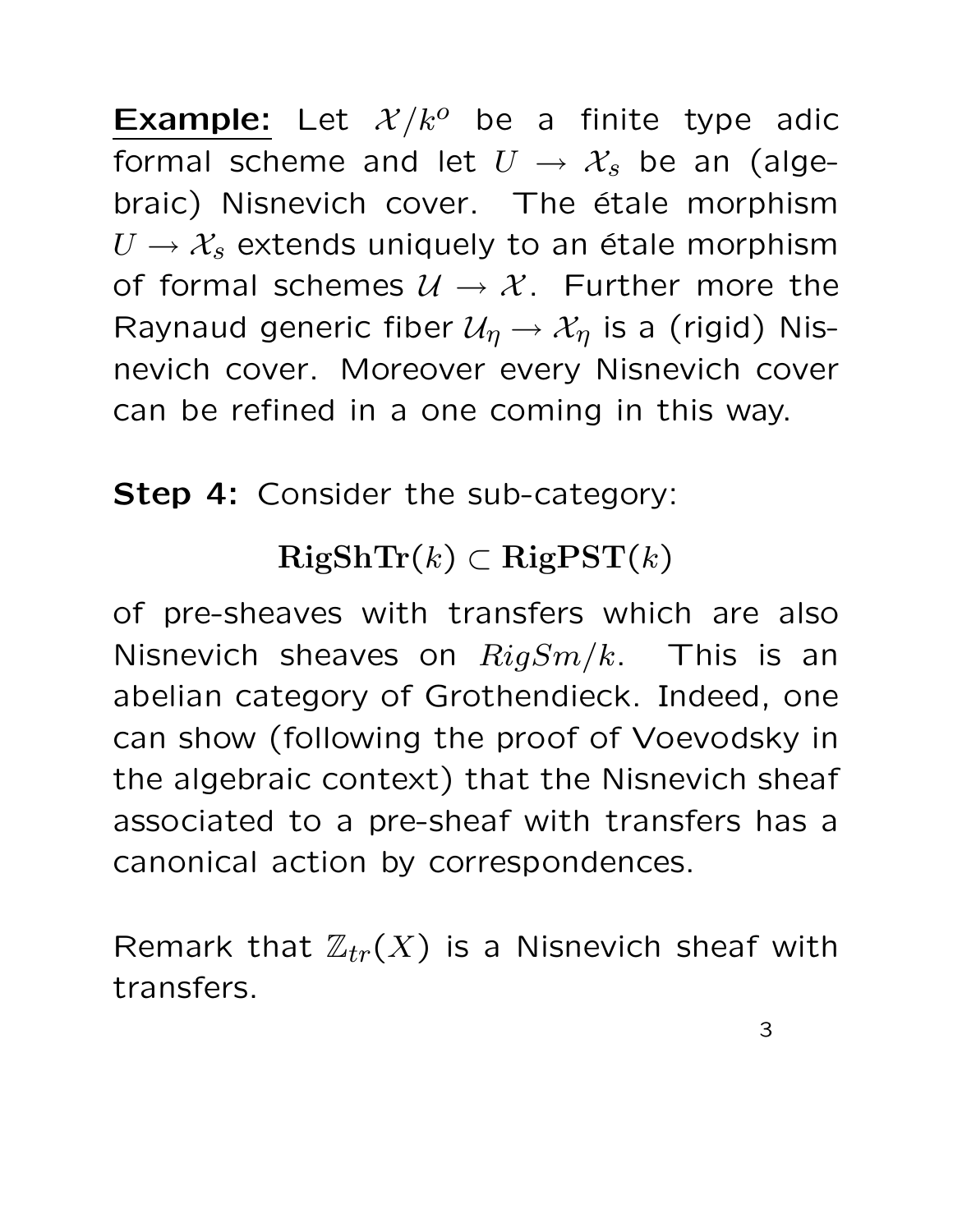**Example:** Let  $\mathcal{X}/k^o$  be a finite type adic formal scheme and let  $U \rightarrow \mathcal{X}_s$  be an (algebraic) Nisnevich cover. The étale morphism  $U \rightarrow \mathcal{X}_s$  extends uniquely to an étale morphism of formal schemes  $U \rightarrow \mathcal{X}$ . Further more the Raynaud generic fiber  $\mathcal{U}_{\eta} \to \mathcal{X}_{\eta}$  is a (rigid) Nisnevich cover. Moreover every Nisnevich cover can be refined in a one coming in this way.

Step 4: Consider the sub-category:

## $RigShTr(k) \subset RigPST(k)$

of pre-sheaves with transfers which are also Nisnevich sheaves on  $RigSm/k$ . This is an abelian category of Grothendieck. Indeed, one can show (following the proof of Voevodsky in the algebraic context) that the Nisnevich sheaf associated to a pre-sheaf with transfers has a canonical action by correspondences.

Remark that  $\mathbb{Z}_{tr}(X)$  is a Nisnevich sheaf with transfers.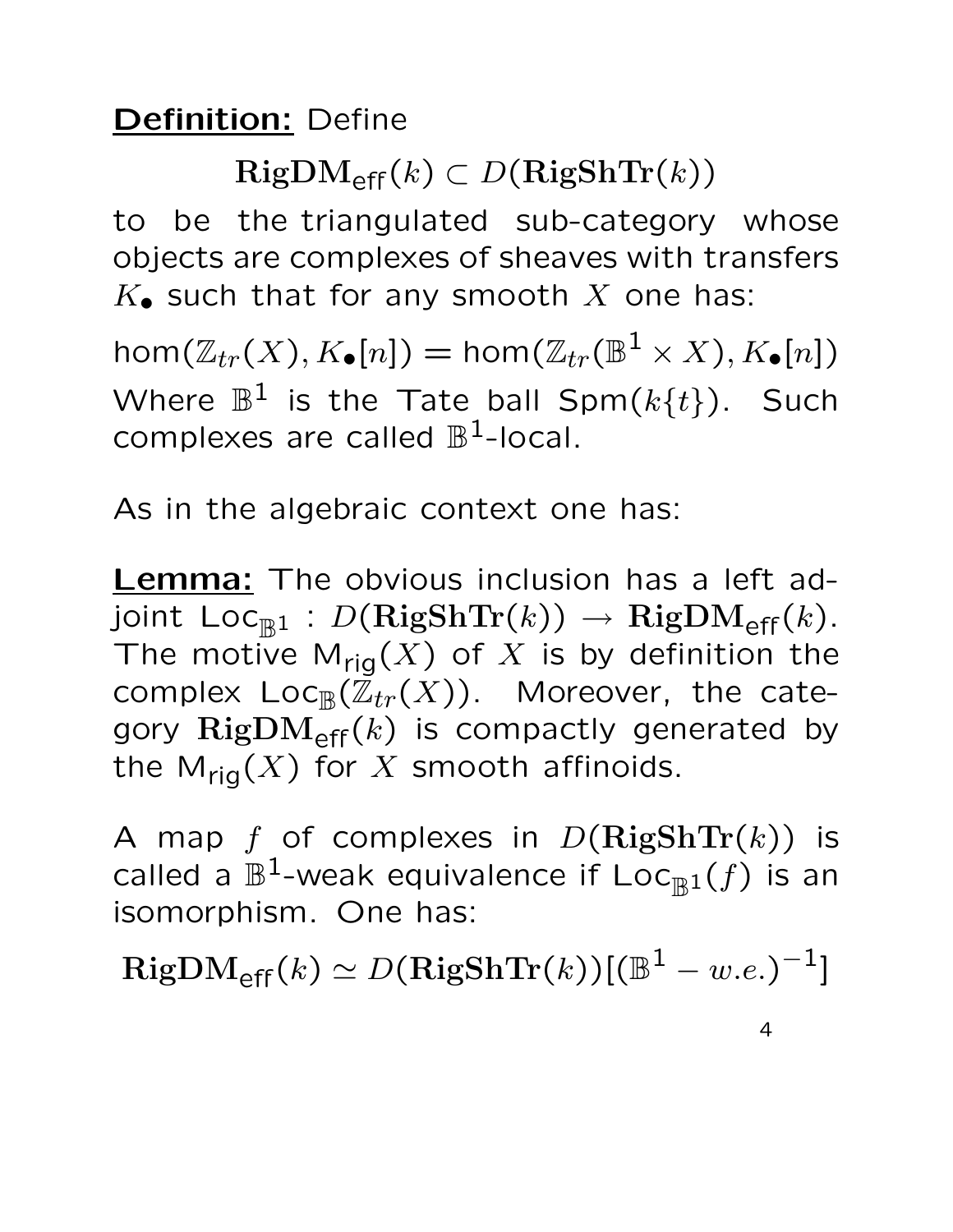#### Definition: Define

 $\text{RigDM}_{\text{eff}}(k) \subset D(\text{RigShTr}(k))$ 

to be the triangulated sub-category whose objects are complexes of sheaves with transfers  $K_{\bullet}$  such that for any smooth X one has:

 $\mathsf{hom}(\mathbb{Z}_{tr}(X),K_\bullet[n]) = \mathsf{hom}(\mathbb{Z}_{tr}(\mathbb{B}^1 \times X),K_\bullet[n])$ Where  $\mathbb{B}^1$  is the Tate ball Spm $(k\{t\})$ . Such complexes are called  $\mathbb{B}^1$ -local.

As in the algebraic context one has:

**Lemma:** The obvious inclusion has a left adjoint  $\mathsf{Loc}_{\mathbb{R}^1} : D(\mathbf{RigShTr}(k)) \to \mathbf{RigDM}_{\mathsf{eff}}(k).$ The motive  $M_{rig}(X)$  of X is by definition the complex  $\mathsf{Loc}_{\mathbb B}(\mathbb Z_{tr}(X))$ . Moreover, the category  $\text{RigDM}_{\text{eff}}(k)$  is compactly generated by the  $M_{\text{rig}}(X)$  for X smooth affinoids.

A map f of complexes in  $D(\mathrm{RigShTr}(k))$  is called a  $\mathbb{B}^1$ -weak equivalence if  $\mathsf{Loc}_{\mathbb{B}^1}(f)$  is an isomorphism. One has:

 $\mathrm{RigDM}_{\mathsf{eff}}(k) \simeq D(\mathbf{RigShTr}(k))[(\mathbb{B}^{1}-w.e.)^{-1}]$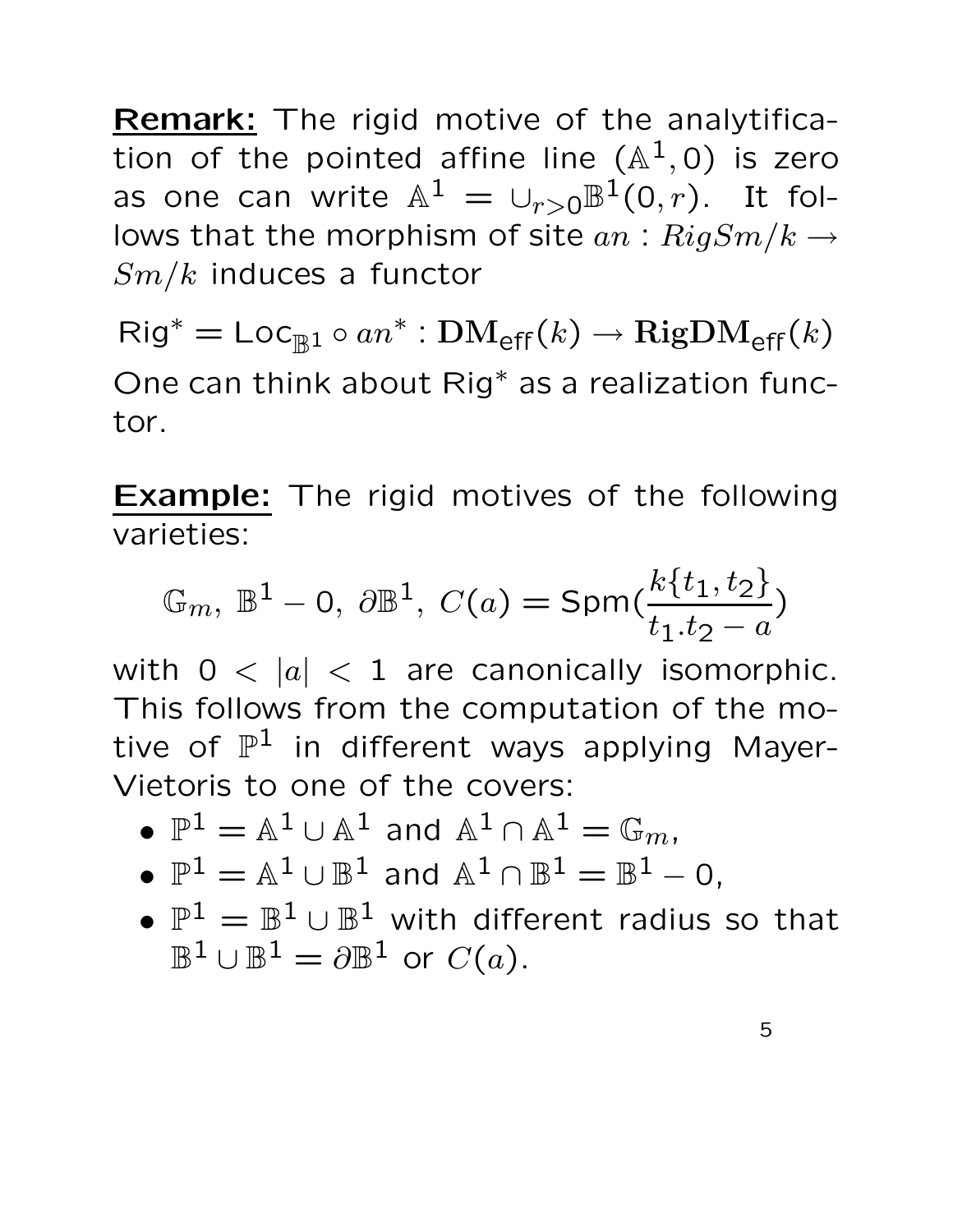Remark: The rigid motive of the analytification of the pointed affine line  $(\mathbb{A}^{1},0)$  is zero as one can write  $\mathbb{A}^1 = \cup_{r>0} \mathbb{B}^1(0,r)$ . It follows that the morphism of site  $an: RigSm/k \rightarrow$  $Sm/k$  induces a functor

 $\mathsf{Rig}^* = \mathsf{Loc}_{\mathbb{B}^1} \circ an^* : \mathbf{DM}_{\mathsf{eff}}(k) \to \mathbf{RigDM}_{\mathsf{eff}}(k)$ One can think about Rig<sup>∗</sup> as a realization functor.

**Example:** The rigid motives of the following varieties:

$$
\mathbb{G}_m, \ \mathbb{B}^1 - 0, \ \partial \mathbb{B}^1, \ C(a) = \text{Spm}(\frac{k\{t_1, t_2\}}{t_1 \cdot t_2 - a})
$$

with  $0 < |a| < 1$  are canonically isomorphic. This follows from the computation of the motive of  $\mathbb{P}^1$  in different ways applying Mayer-Vietoris to one of the covers:

- $\mathbb{P}^1 = \mathbb{A}^1 \cup \mathbb{A}^1$  and  $\mathbb{A}^1 \cap \mathbb{A}^1 = \mathbb{G}_m$ ,
- $\mathbb{P}^1 = \mathbb{A}^1 \cup \mathbb{B}^1$  and  $\mathbb{A}^1 \cap \mathbb{B}^1 = \mathbb{B}^1$  0,
- $\mathbb{P}^1 = \mathbb{B}^1 \cup \mathbb{B}^1$  with different radius so that  $\mathbb{B}^1\cup\mathbb{B}^1=\partial\mathbb{B}^1$  or  $C(a).$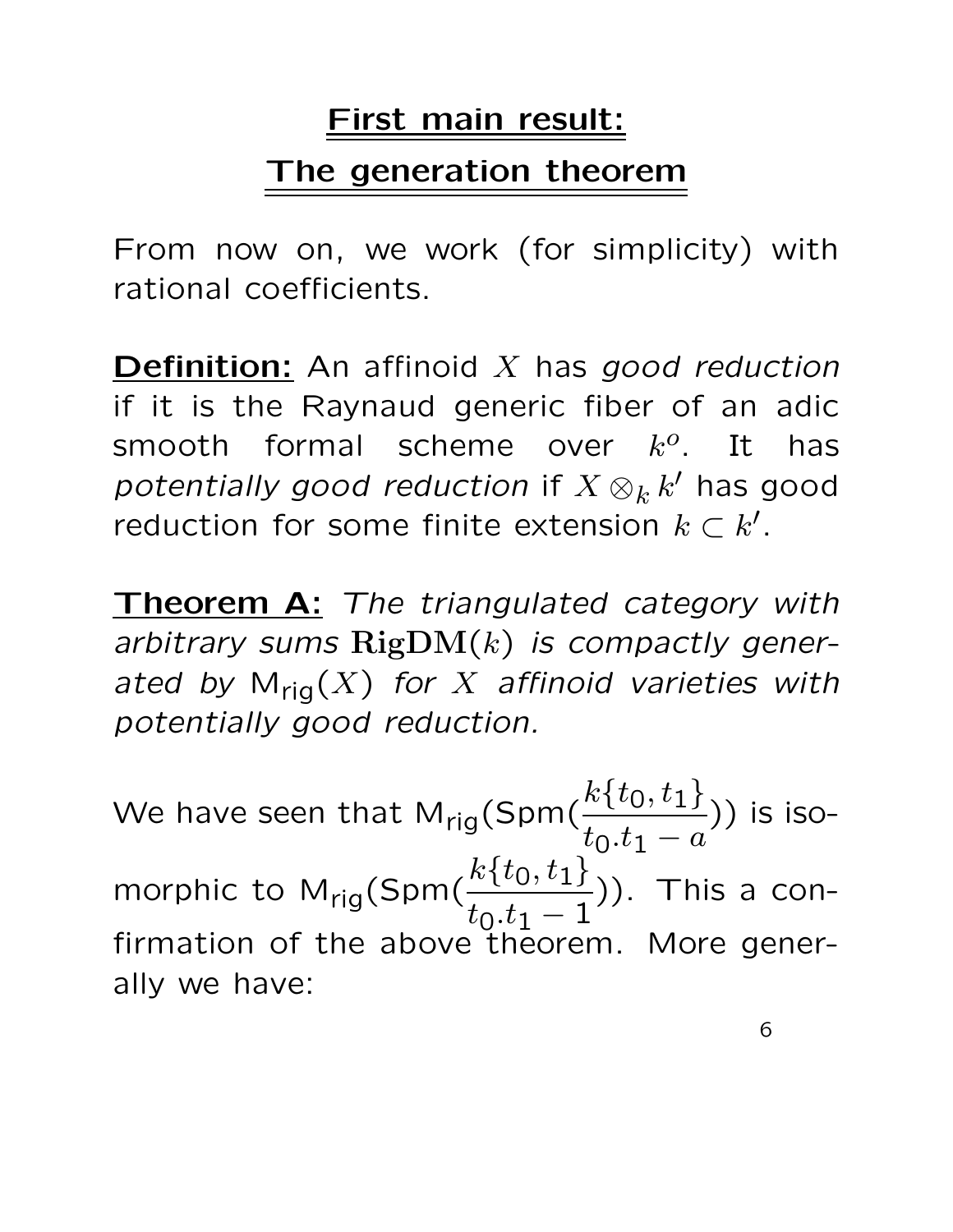## First main result: The generation theorem

From now on, we work (for simplicity) with rational coefficients.

**Definition:** An affinoid  $X$  has good reduction if it is the Raynaud generic fiber of an adic smooth formal scheme over  $k^o$ . It has potentially good reduction if  $X\otimes_kk'$  has good reduction for some finite extension  $k \subset k'.$ 

Theorem A: The triangulated category with arbitrary sums  $\text{RigDM}(k)$  is compactly generated by  $M_{\text{rig}}(X)$  for  $X$  affinoid varieties with potentially good reduction.

We have seen that  $\mathsf{M}_{\mathsf{rig}}(\mathsf{Spm}(\frac{k\{t_0,t_1\}}{t_0:t_1})$  $t_0.t_1 - a$ )) is isomorphic to M<sub>rig</sub>(Spm( $\frac{k\{t_0,t_1\}}{t_0+t_1}$  $t_0.t_1 - 1$ )). This a confirmation of the above theorem. More generally we have: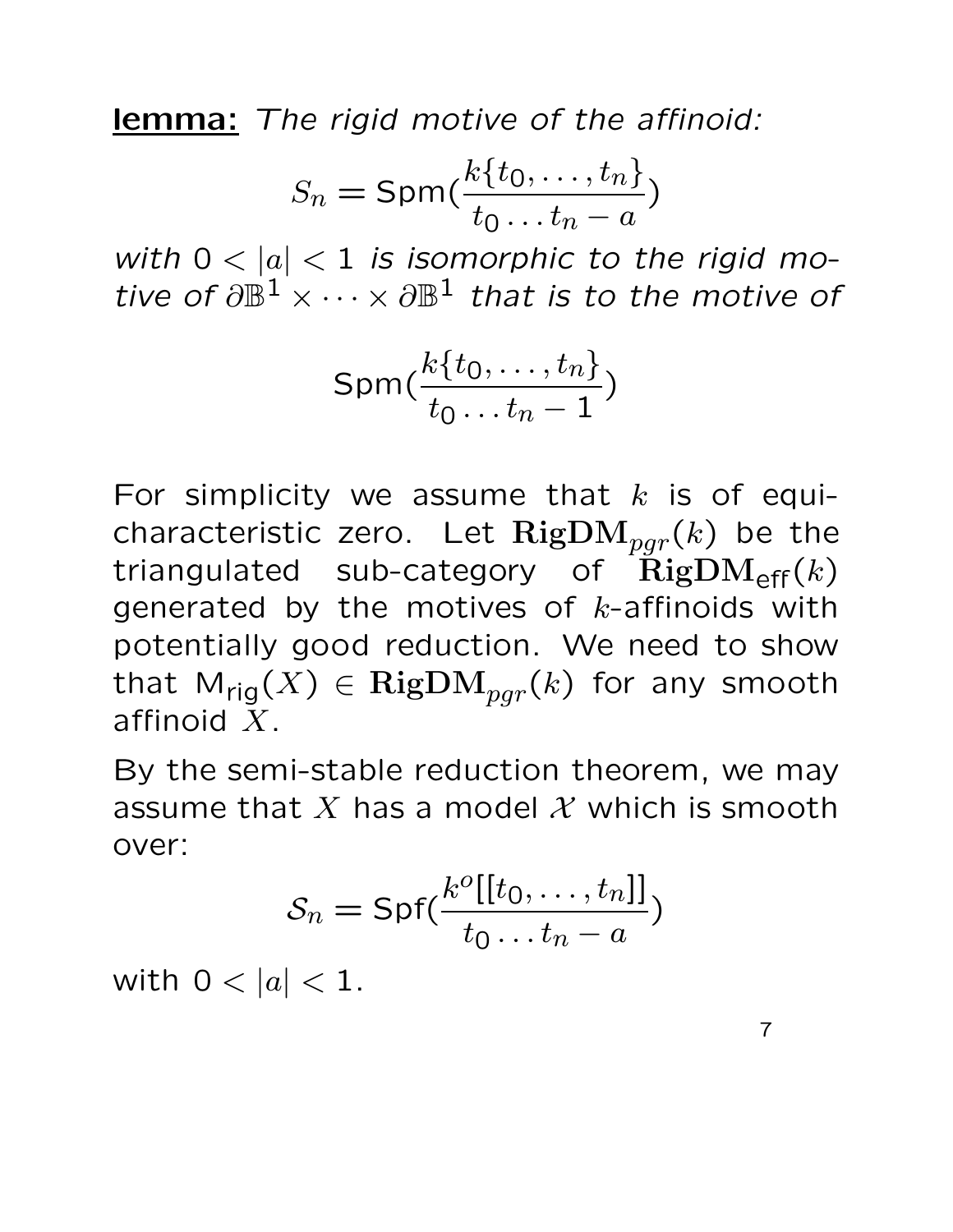lemma: The rigid motive of the affinoid:

$$
S_n = \text{Spm}(\frac{k\{t_0, \dots, t_n\}}{t_0 \dots t_n - a})
$$

with  $0 < |a| < 1$  is isomorphic to the rigid motive of  $\partial \mathbb{B}^1 \times \cdots \times \partial \mathbb{B}^1$  that is to the motive of

$$
\text{Spm}(\frac{k\{t_0,\ldots,t_n\}}{t_0\ldots t_n-1})
$$

For simplicity we assume that  $k$  is of equicharacteristic zero. Let  $\operatorname{RigDM}_{pgr}(k)$  be the triangulated sub-category of  $\text{RigDM}_{\text{eff}}(k)$ generated by the motives of  $k$ -affinoids with potentially good reduction. We need to show that  $\mathsf{M}_{\mathsf{rig}}(X) \in \mathrm{RigDM}_{pgr}(k)$  for any smooth affinoid X.

By the semi-stable reduction theorem, we may assume that X has a model X which is smooth over:

$$
S_n = \mathsf{Spf}(\frac{k^o[[t_0, \ldots, t_n]]}{t_0 \ldots t_n - a})
$$

with  $0 < |a| < 1$ .

7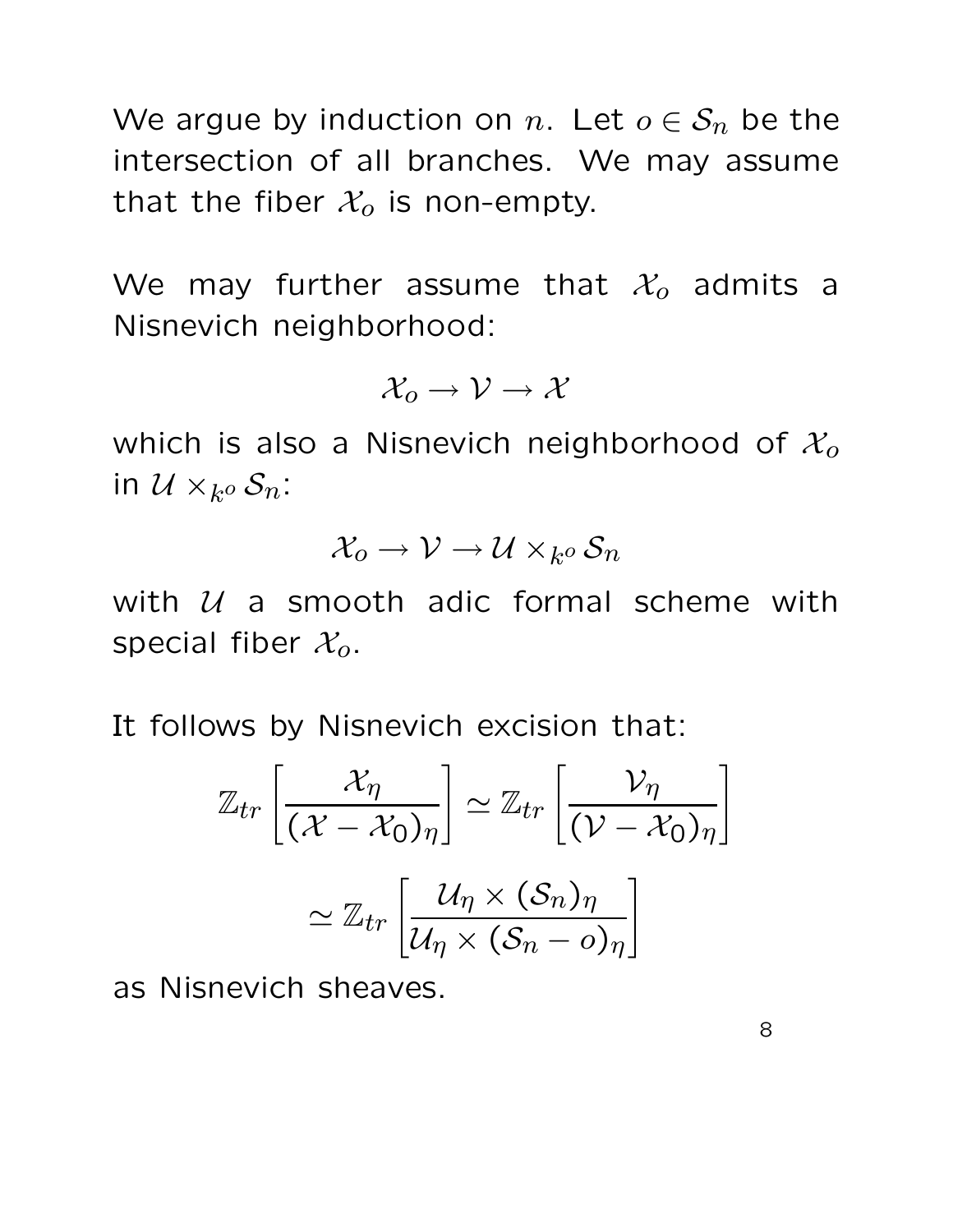We argue by induction on n. Let  $o \in S_n$  be the intersection of all branches. We may assume that the fiber  $\mathcal{X}_o$  is non-empty.

We may further assume that  $\mathcal{X}_o$  admits a Nisnevich neighborhood:

$$
\mathcal{X}_o \to \mathcal{V} \to \mathcal{X}
$$

which is also a Nisnevich neighborhood of  $\mathcal{X}_o$ in  $\mathcal U\times_{k^o}\mathcal S_n$ :

$$
\mathcal{X}_o \to \mathcal{V} \to \mathcal{U} \times_{k^o} \mathcal{S}_n
$$

with  $U$  a smooth adic formal scheme with special fiber  $\mathcal{X}_o$ .

It follows by Nisnevich excision that:

$$
\mathbb{Z}_{tr}\left[\frac{\mathcal{X}_{\eta}}{(\mathcal{X}-\mathcal{X}_{0})_{\eta}}\right] \simeq \mathbb{Z}_{tr}\left[\frac{\mathcal{V}_{\eta}}{(\mathcal{V}-\mathcal{X}_{0})_{\eta}}\right]
$$

$$
\simeq \mathbb{Z}_{tr}\left[\frac{\mathcal{U}_{\eta} \times (\mathcal{S}_{n})_{\eta}}{\mathcal{U}_{\eta} \times (\mathcal{S}_{n}-o)_{\eta}}\right]
$$

as Nisnevich sheaves.

8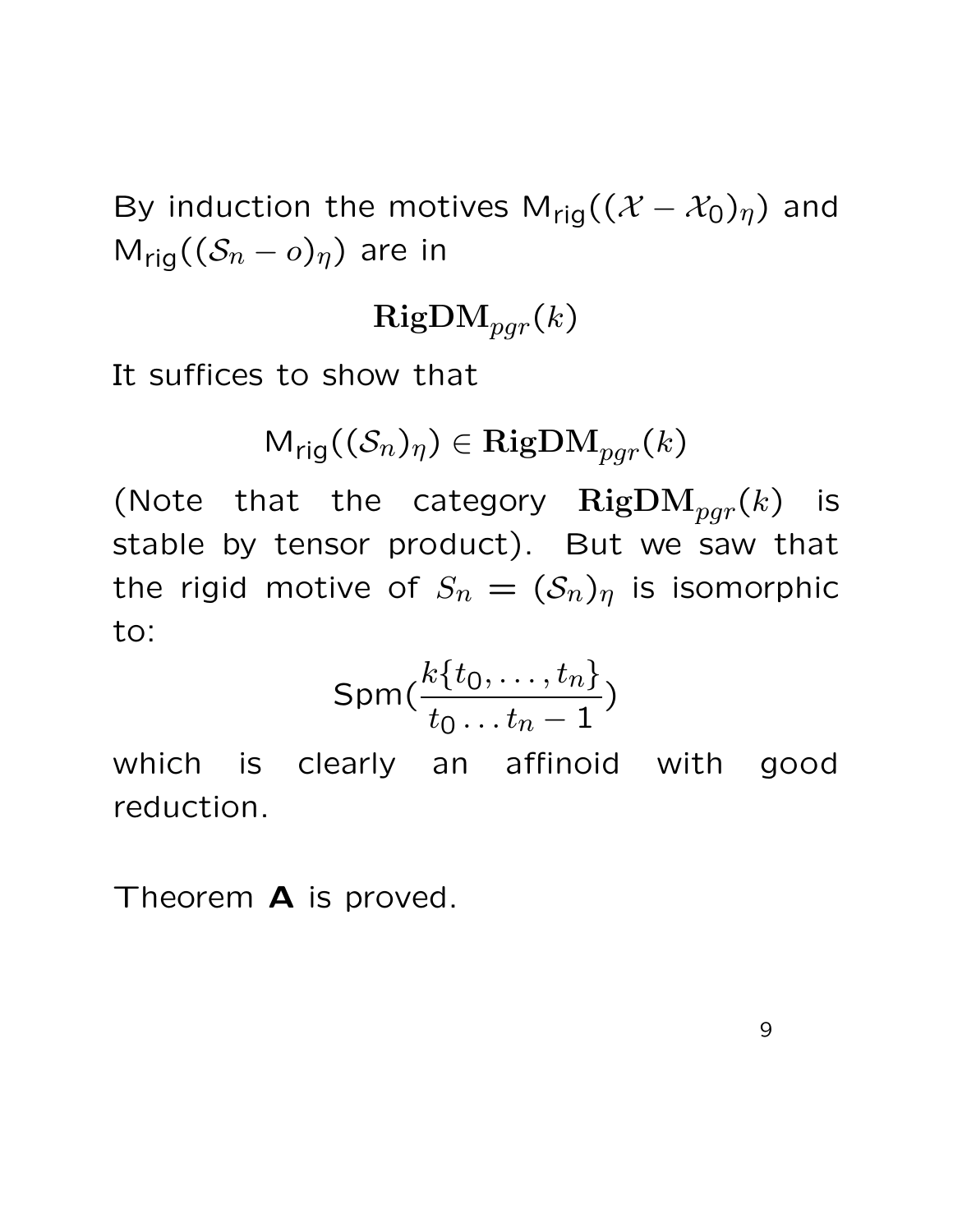By induction the motives M<sub>rig</sub>( $(\mathcal{X} - \mathcal{X}_0)_\eta$ ) and  $M_{\text{rig}}((S_n - o)_{\eta})$  are in

$$
\mathrm{RigDM}_{pgr}(k)
$$

It suffices to show that

$$
\mathsf{M}_{\mathsf{rig}}((\mathcal{S}_n)_{\eta}) \in \mathrm{RigDM}_{pgr}(k)
$$

(Note that the category  $\mathrm{RigDM}_{pgr}(k)$  is stable by tensor product). But we saw that the rigid motive of  $S_n = (S_n)_\eta$  is isomorphic to:

$$
\textsf{Spm}(\frac{k\{t_0,\dots,t_n\}}{t_0\dots t_n-1})
$$

which is clearly an affinoid with good reduction.

Theorem **A** is proved.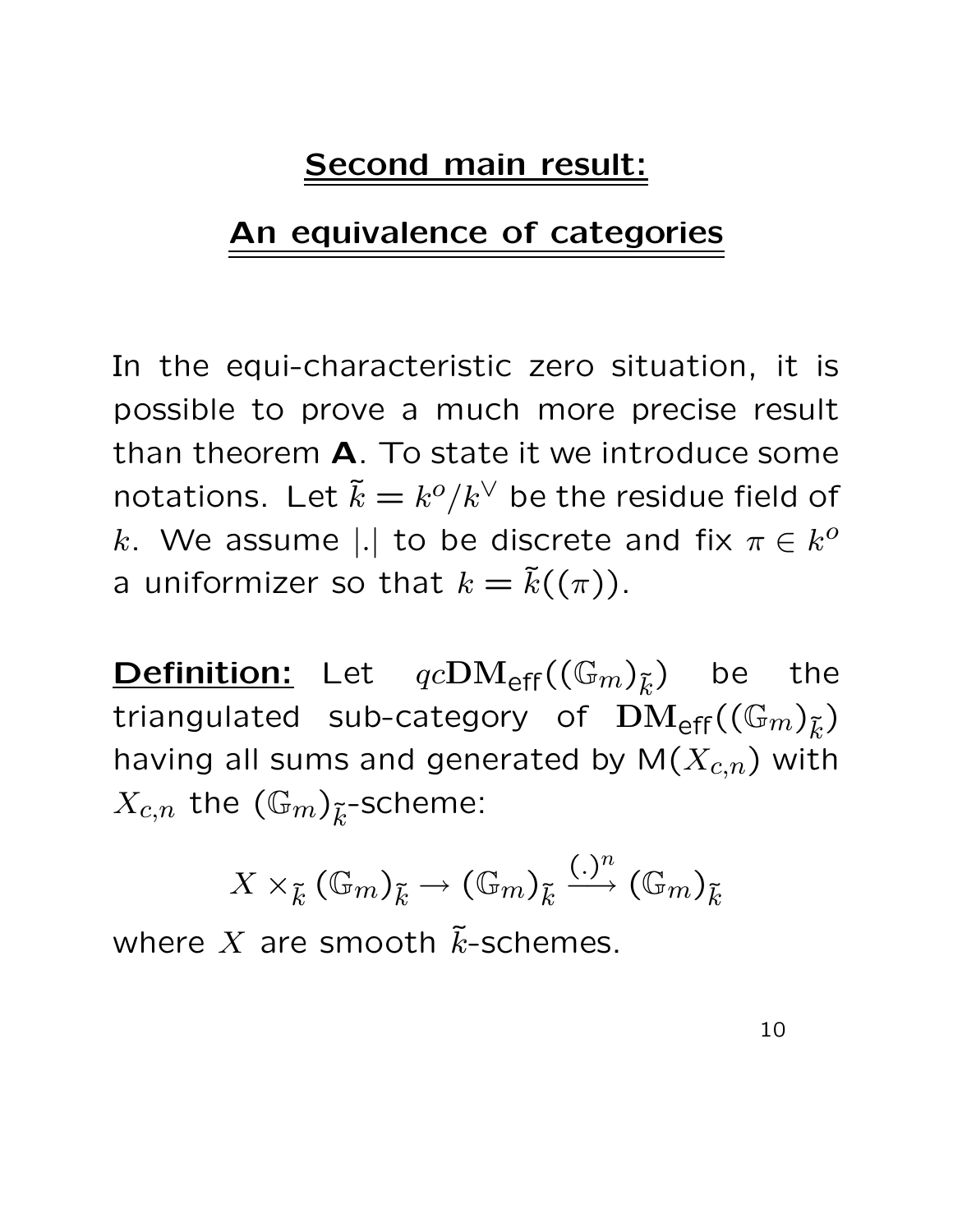#### Second main result:

#### An equivalence of categories

In the equi-characteristic zero situation, it is possible to prove a much more precise result than theorem A. To state it we introduce some notations. Let  $\tilde{k} = k^o/k^{\vee}$  be the residue field of k. We assume |.| to be discrete and fix  $\pi \in k^o$ a uniformizer so that  $k = \tilde{k}((\pi))$ .

**Definition:** Let  $qcDM_{\text{eff}}((\mathbb{G}_m)_{\tilde{k}})$  be the triangulated sub-category of  $\text{DM}_{\text{eff}}((\mathbb{G}_m)_{\tilde{k}})$ having all sums and generated by  $M(X_{c,n})$  with  $X_{c,n}$  the  $(\mathbb{G}_m)_{\widetilde{k}}$ -scheme:

$$
X\times_{\widetilde{k}} (\mathbb{G}_m)_{\widetilde{k}} \to (\mathbb{G}_m)_{\widetilde{k}} \xrightarrow{(.)^n} (\mathbb{G}_m)_{\widetilde{k}}
$$

where X are smooth  $\tilde{k}$ -schemes.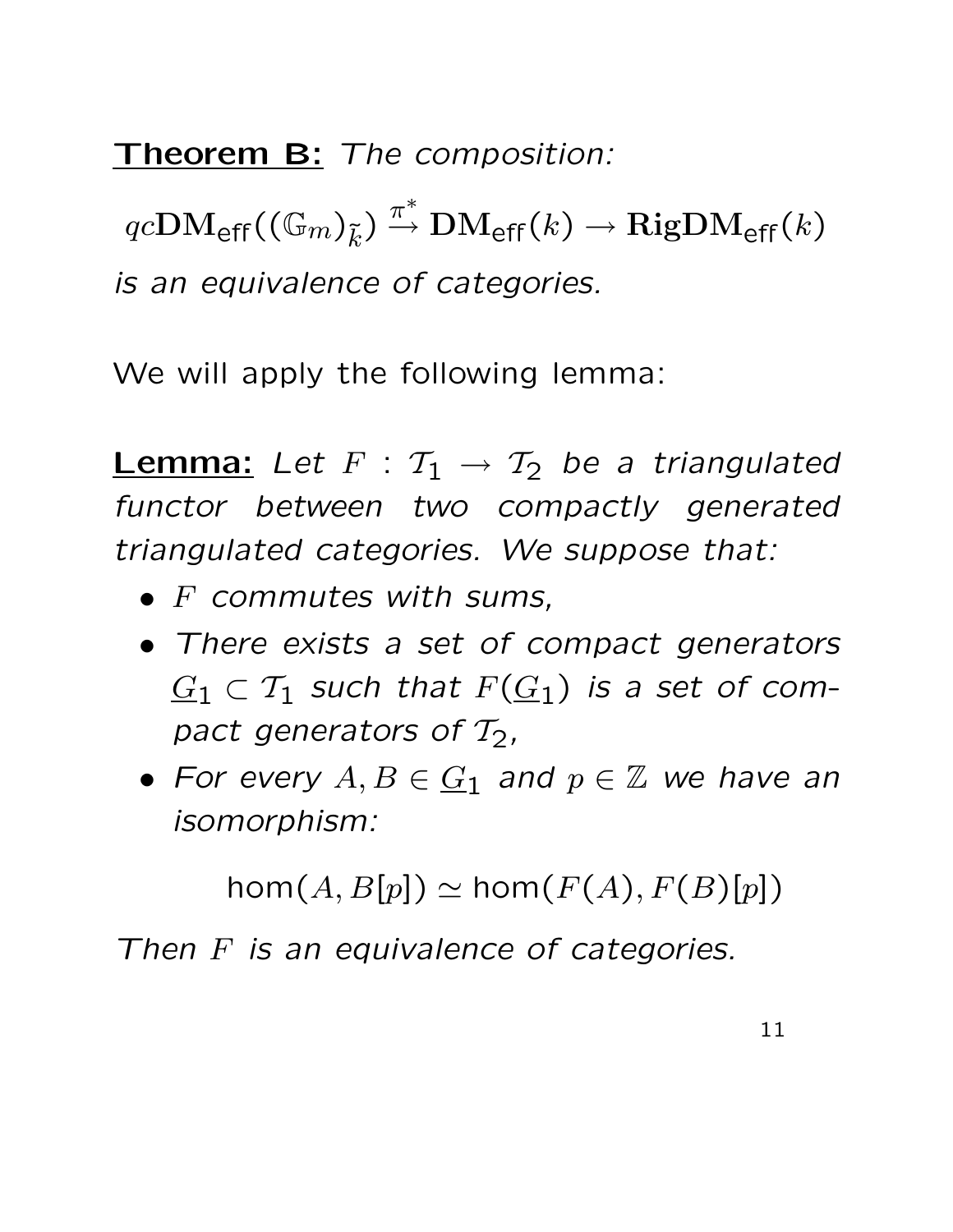Theorem B: The composition:

 $qc{\rm DM}_{\sf eff}((\mathbb{G}_m)_{\tilde{k}}) \stackrel{\pi^*}{\to}$  $\stackrel{\pi}{\rightarrow} \mathrm{DM}_{\mathsf{eff}}(k) \rightarrow \mathrm{RigDM}_{\mathsf{eff}}(k)$ is an equivalence of categories.

We will apply the following lemma:

**Lemma:** Let  $F : T_1 \rightarrow T_2$  be a triangulated functor between two compactly generated triangulated categories. We suppose that:

- $\bullet$  F commutes with sums,
- There exists a set of compact generators  $G_1 \subset \mathcal{T}_1$  such that  $F(G_1)$  is a set of compact generators of  $T_2$ ,
- For every  $A, B \in \underline{G}_1$  and  $p \in \mathbb{Z}$  we have an isomorphism:

 $\text{hom}(A, B[p]) \simeq \text{hom}(F(A), F(B)[p])$ 

Then F is an equivalence of categories.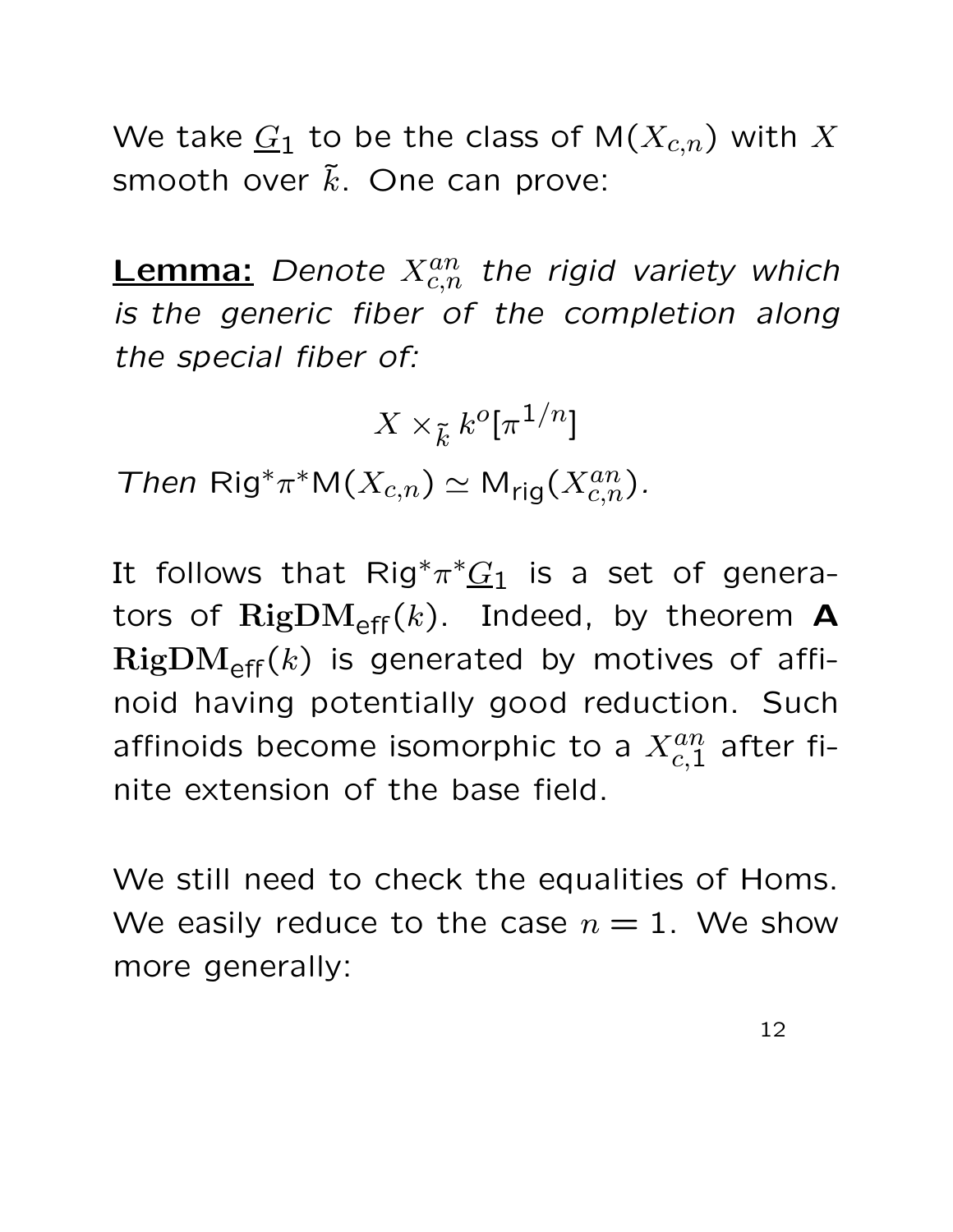We take  $G_1$  to be the class of  $M(X_{c,n})$  with X smooth over  $\tilde{k}$ . One can prove:

**Lemma:** Denote  $X_{c,n}^{an}$  the rigid variety which is the generic fiber of the completion along the special fiber of:

$$
X\times_{\tilde k} k^o[\pi^{1/n}]
$$

Then Rig<sup>\*</sup> $\pi^*M(X_{c,n}) \simeq M_{\text{rig}}(X_{c,n}^{an})$ .

It follows that Rig<sup>\*</sup> $\pi^*\underline{G}_1$  is a set of generators of  $\text{RigDM}_{\text{eff}}(k)$ . Indeed, by theorem **A**  $RigDM_{eff}(k)$  is generated by motives of affinoid having potentially good reduction. Such affinoids become isomorphic to a  $X^{an}_{c,1}$  after finite extension of the base field.

We still need to check the equalities of Homs. We easily reduce to the case  $n = 1$ . We show more generally: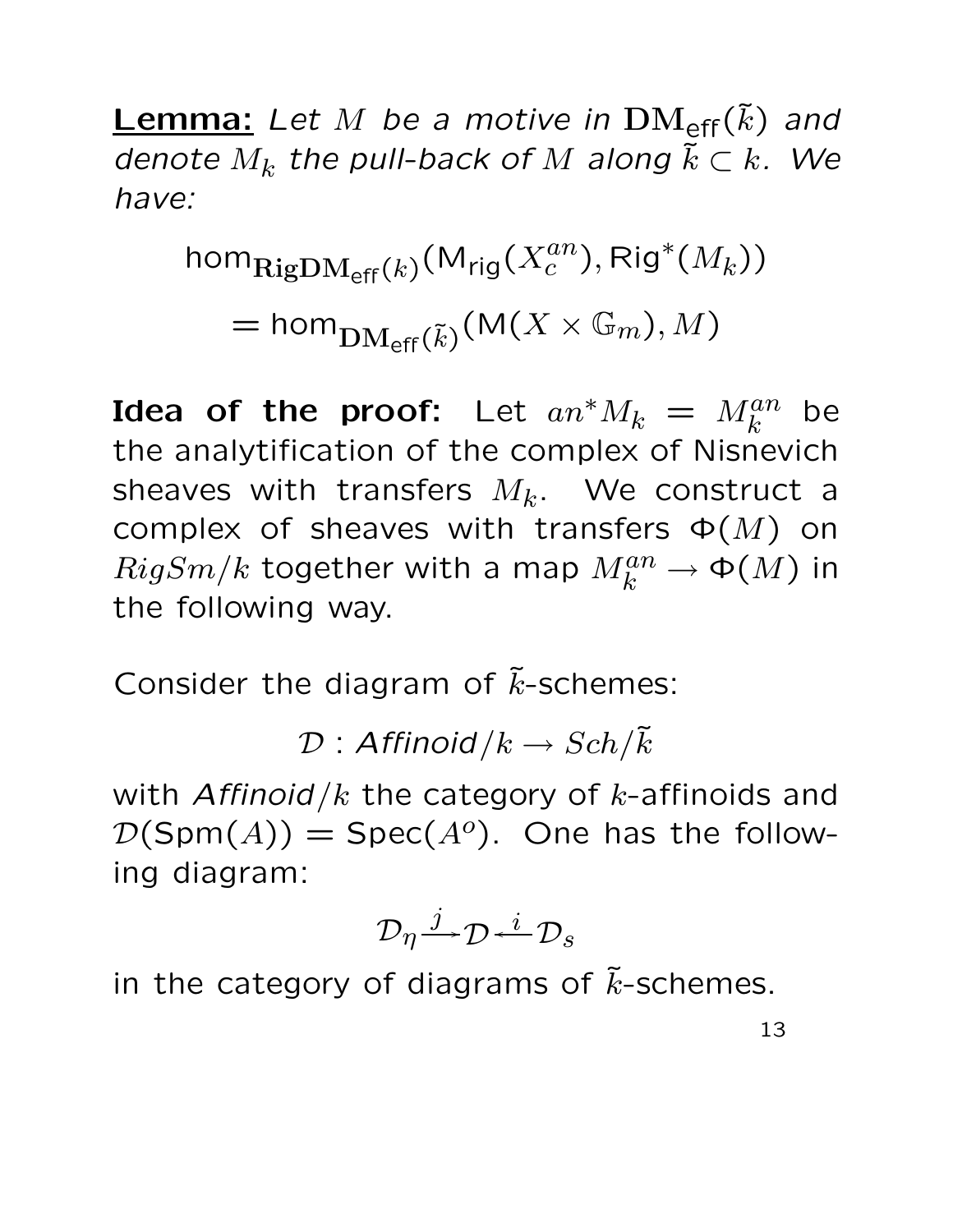**Lemma:** Let M be a motive in  $\text{DM}_{\text{eff}}(\tilde{k})$  and denote  $M_k$  the pull-back of  $M$  along  $\tilde{k} \subset k$ . We have:

$$
\text{hom}_{\text{RigDM}_{\text{eff}}(k)}(\text{M}_{\text{rig}}(X_c^{an}), \text{Rig}^*(M_k))
$$
  
= 
$$
\text{hom}_{\text{DM}_{\text{eff}}(\tilde{k})}(\text{M}(X \times \mathbb{G}_m), M)
$$

Idea of the proof: Let  $a n^* M_k = M_k^{an}$  be the analytification of the complex of Nisnevich sheaves with transfers  $M_k$ . We construct a complex of sheaves with transfers  $\Phi(M)$  on  $RigSm/k$  together with a map  $M_k^{an} \to \Phi(M)$  in the following way.

Consider the diagram of  $\tilde{k}$ -schemes:

 $\mathcal{D}:$  Affinoid  $/k \to Sch/\tilde{k}$ 

with Affinoid/ $k$  the category of  $k$ -affinoids and  $\mathcal{D}(\textsf{Spm}(A)) = \textsf{Spec}(A^o)$ . One has the following diagram:

$$
\mathcal{D}_\eta \overset{j}{\longrightarrow} \mathcal{D} \overset{i}{\longleftarrow} \mathcal{D}_s
$$

in the category of diagrams of  $\tilde{k}$ -schemes.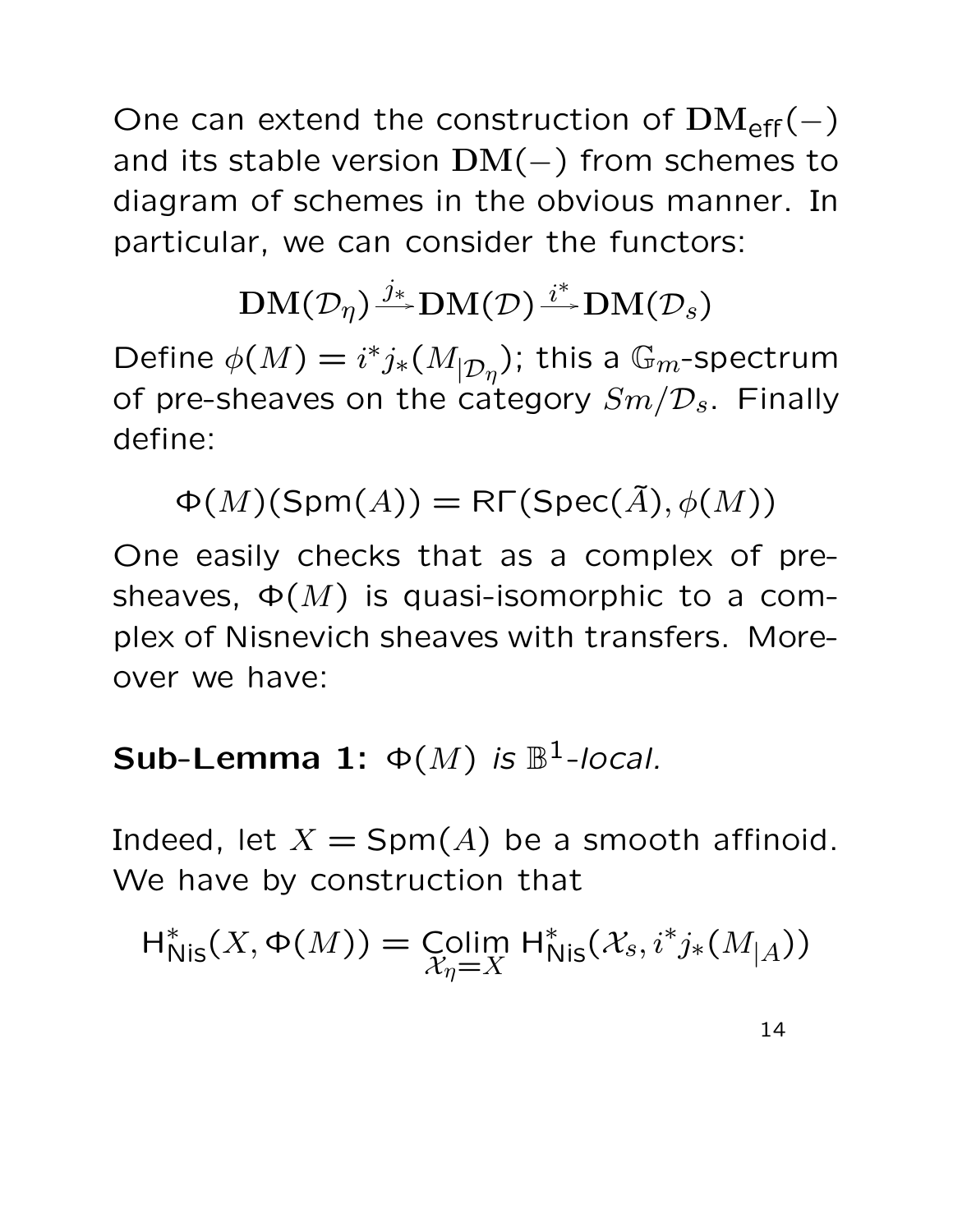One can extend the construction of  $\text{DM}_{\text{eff}}(-)$ and its stable version  $DM(-)$  from schemes to diagram of schemes in the obvious manner. In particular, we can consider the functors:

#### $\operatorname{DM}(\mathcal{D}_\eta) \overset{j_*}{\twoheadrightarrow} \operatorname{DM}(\mathcal{D}) \overset{i^*}{\twoheadrightarrow}$  $\mathrm{DM}(\mathcal{D}_s)$

Define  $\phi(M) = i^* j_*(M_{|D_\eta})$ ; this a  $\mathbb{G}_m$ -spectrum of pre-sheaves on the category  $Sm/D_s$ . Finally define:

 $\Phi(M)(\text{Spm}(A)) = \text{R}\Gamma(\text{Spec}(\tilde{A}), \phi(M))$ 

One easily checks that as a complex of presheaves,  $\Phi(M)$  is quasi-isomorphic to a complex of Nisnevich sheaves with transfers. Moreover we have:

### **Sub-Lemma 1:**  $\Phi(M)$  is  $\mathbb{B}^1$ -local.

Indeed, let  $X = \text{Spm}(A)$  be a smooth affinoid. We have by construction that

$$
\operatorname{H}^*_{\operatorname{Nis}}(X, \Phi(M)) = \operatorname{Colim}_{\mathcal{X}_\eta = X} \operatorname{H}^*_{\operatorname{Nis}}(\mathcal{X}_s, i^*j_*(M_{|A}))
$$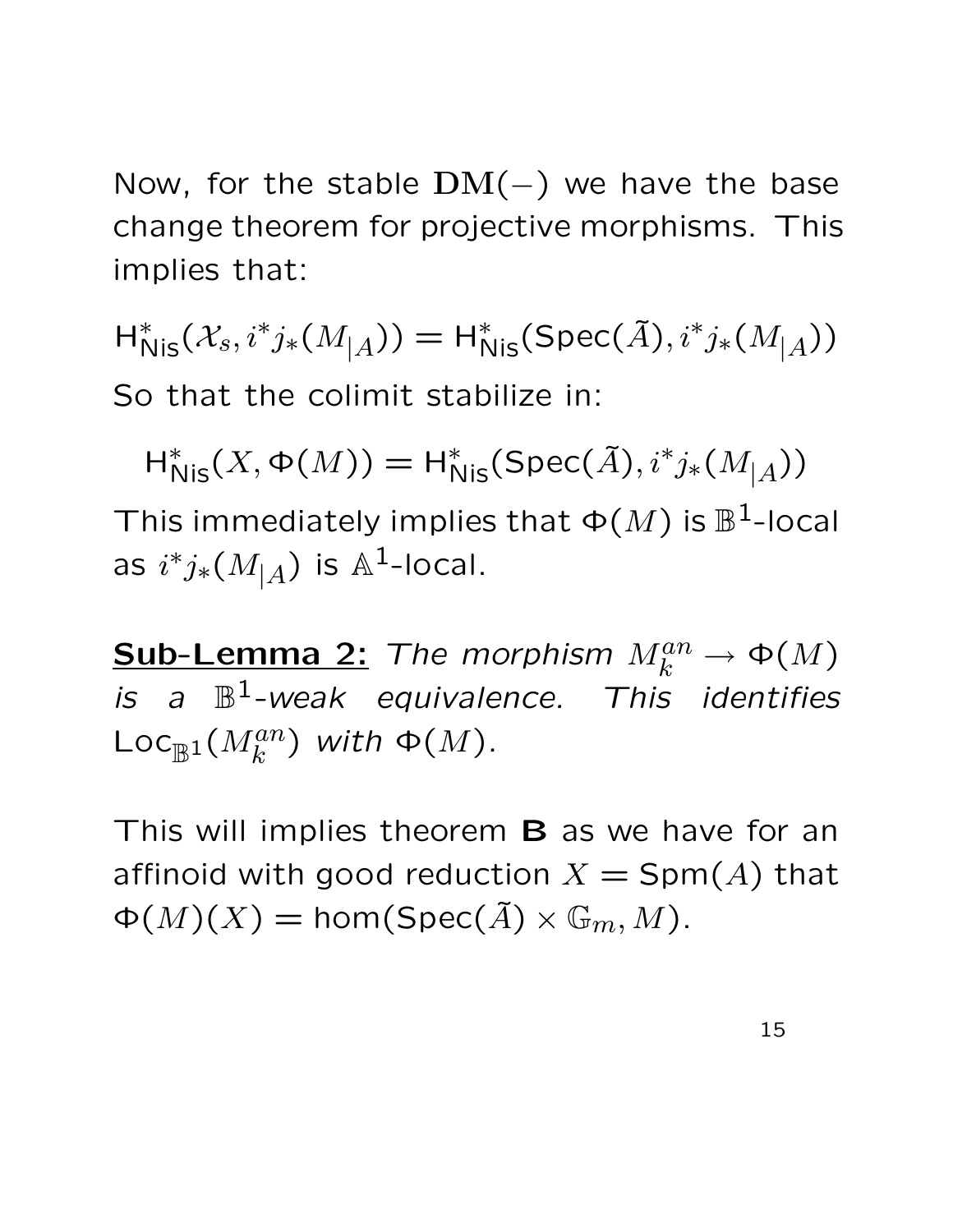Now, for the stable  $DM(-)$  we have the base change theorem for projective morphisms. This implies that:

 $H_{Nis}^*(X_s, i^*j_*(M_{|A})) = H_{Nis}^*(Spec(\tilde{A}), i^*j_*(M_{|A}))$ So that the colimit stabilize in:

 $H_{Nis}^{*}(X, \Phi(M)) = H_{Nis}^{*}(Spec(\tilde{A}), i^{*}j_{*}(M_{|\tilde{A}}))$ This immediately implies that  $\Phi(M)$  is  $\mathbb{B}^1$ -local as  $i^*j_*(M_{|A})$  is  $\mathbb{A}^1$ -local.

**Sub-Lemma 2:** The morphism  $M_k^{an} \to \Phi(M)$ is a  $\mathbb{B}^1$ -weak equivalence. This identifies  $\mathsf{Loc}_{\mathbb{B}^1}(M^{an}_k)$  with  $\Phi(M)$ .

This will implies theorem **B** as we have for an affinoid with good reduction  $X = \text{Spm}(A)$  that  $\Phi(M)(X) = \text{hom}(\text{Spec}(\tilde{A}) \times \mathbb{G}_m, M).$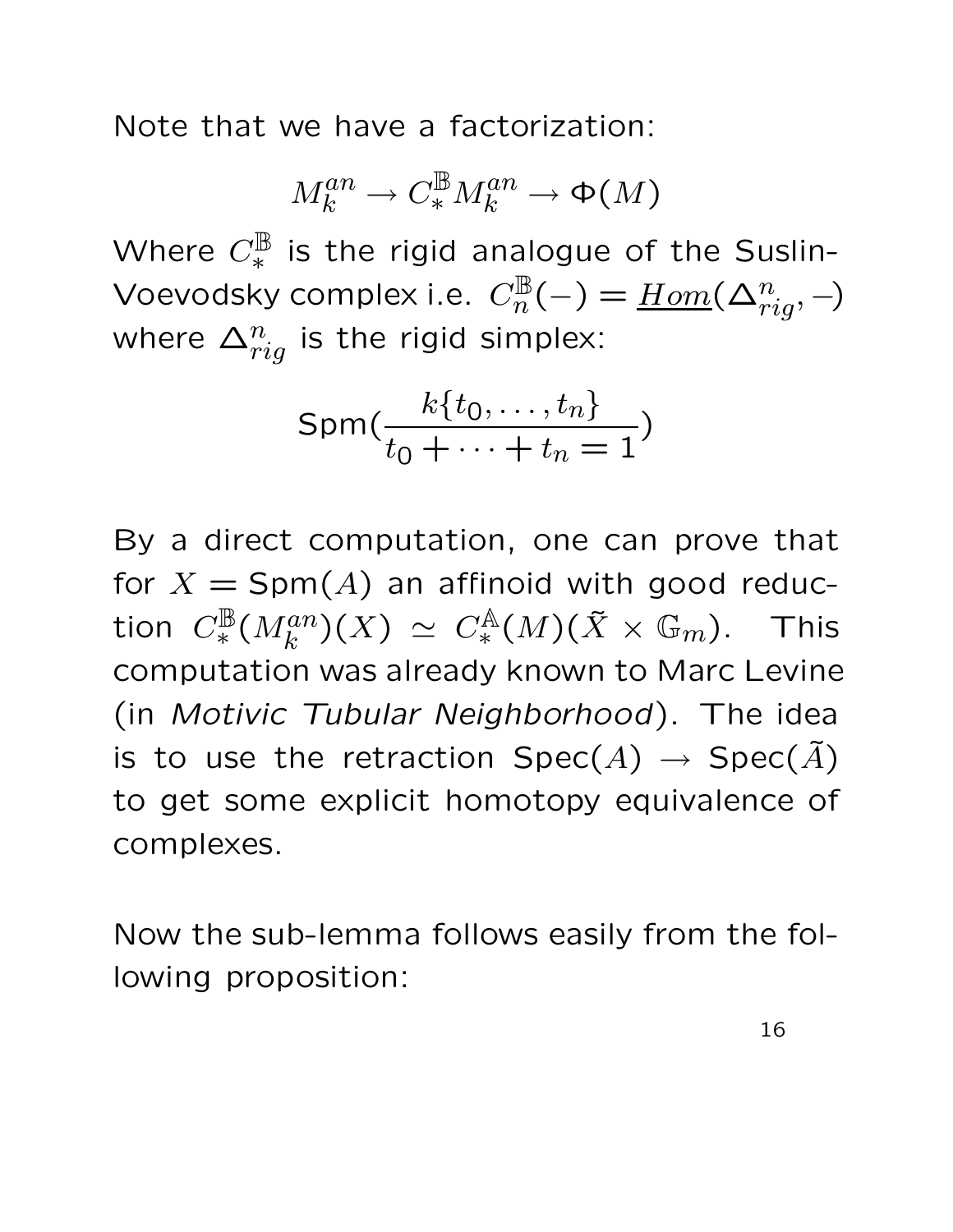Note that we have a factorization:

$$
M_k^{an}\to C^{\mathbb{B}}_*M_k^{an}\to \Phi(M)
$$

Where  $C_*^{\mathbb B}$  is the rigid analogue of the Suslin-Voevodsky complex i.e.  $C^{\mathbb{B}}_n(-) = \underline{Hom}(\Delta^n_{rig},-)$ where  $\Delta^n_{rig}$  is the rigid simplex:

$$
\text{Spm}(\frac{k\{t_0,\ldots,t_n\}}{t_0+\cdots+t_n=1})
$$

By a direct computation, one can prove that for  $X = \text{Spm}(A)$  an affinoid with good reduction  $C^{\mathbb B}_*(M^{an}_k)(X)\,\simeq\,C^{\mathbb A}_*(M)(\tilde X\times {\mathbb G}_m).$  This computation was already known to Marc Levine (in Motivic Tubular Neighborhood). The idea is to use the retraction  $Spec(A) \rightarrow Spec(\tilde{A})$ to get some explicit homotopy equivalence of complexes.

Now the sub-lemma follows easily from the following proposition: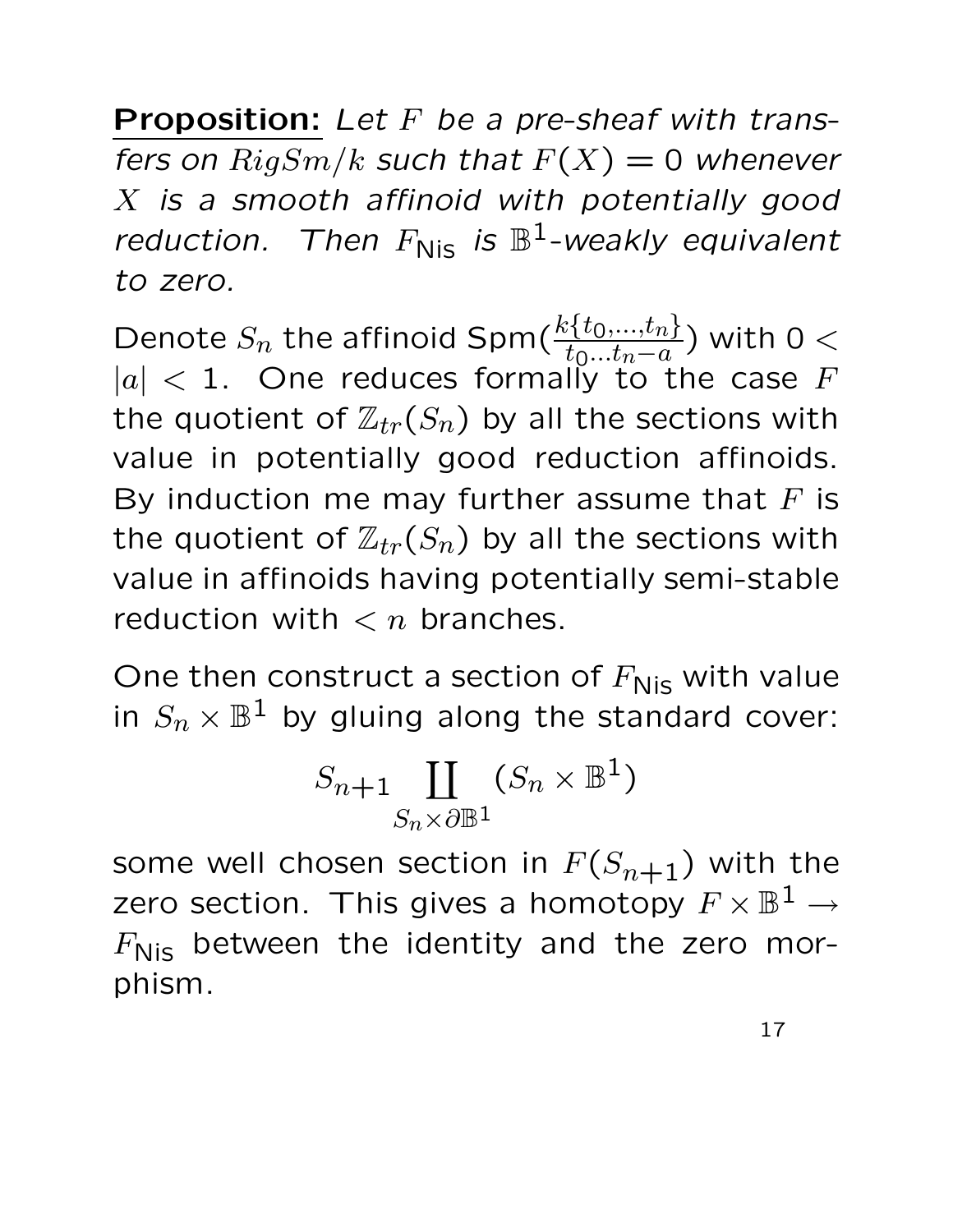**Proposition:** Let  $F$  be a pre-sheaf with transfers on  $RigSm/k$  such that  $F(X) = 0$  whenever X is a smooth affinoid with potentially good reduction. Then  $F_{\text{Nis}}$  is  $\mathbb{B}^1$ -weakly equivalent to zero.

Denote  $S_n$  the affinoid Spm( $\frac{k\{t_0,...,t_n\}}{t_0...t_n-a}$ ) with 0  $<$  $|a|$  < 1. One reduces formally to the case F the quotient of  $\mathbb{Z}_{tr}(S_n)$  by all the sections with value in potentially good reduction affinoids. By induction me may further assume that  $F$  is the quotient of  $\mathbb{Z}_{tr}(S_n)$  by all the sections with value in affinoids having potentially semi-stable reduction with  $\langle n \rangle$  branches.

One then construct a section of  $F_{\text{Nis}}$  with value in  $S_n \times \mathbb{B}^1$  by gluing along the standard cover:

$$
S_{n+1} \coprod_{S_n \times \partial \mathbb{B}^1} (S_n \times \mathbb{B}^1)
$$

some well chosen section in  $F(S_{n+1})$  with the zero section. This gives a homotopy  $F\times\mathbb{B}^1\to$  $F_{\text{Nis}}$  between the identity and the zero morphism.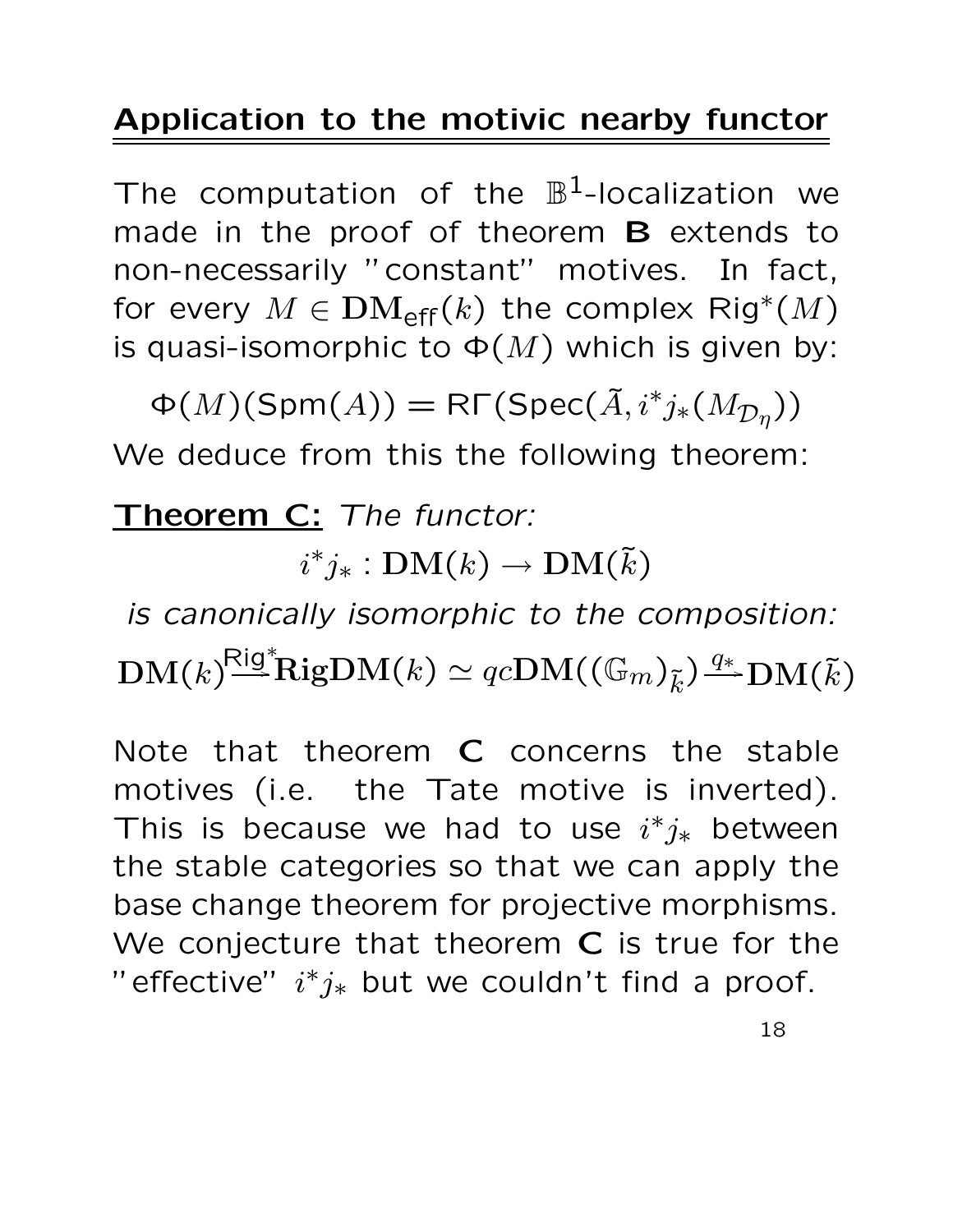#### Application to the motivic nearby functor

The computation of the  $\mathbb{B}^1$ -localization we made in the proof of theorem **B** extends to non-necessarily "constant" motives. In fact, for every  $M \in \mathbf{DM}_{\mathsf{eff}}(k)$  the complex  $\mathsf{Rig}^*(M)$ is quasi-isomorphic to  $\Phi(M)$  which is given by:

 $\Phi(M)(\mathsf{Spm}(A)) = \mathsf{R}\Gamma(\mathsf{Spec}(\tilde{A},i^*j_*(M_{\mathcal{D}_\eta}))$ We deduce from this the following theorem:

#### Theorem C: The functor:

 $i^*j_*: {\bf DM}(k) \rightarrow {\bf DM}(\tilde{k})$ 

is canonically isomorphic to the composition:  $\mathrm{DM}(k)^\natural$  $R$ ig\* ${\rm RigDM}(k) \simeq qc{\rm DM}(({\mathbb G}_m)_{\tilde k})\frac{q_*}{\longrightarrow} {\rm DM}({\tilde k})$ 

Note that theorem C concerns the stable motives (i.e. the Tate motive is inverted). This is because we had to use  $i^*j_*$  between the stable categories so that we can apply the base change theorem for projective morphisms. We conjecture that theorem C is true for the " effective"  $i^*j_*$  but we couldn't find a proof.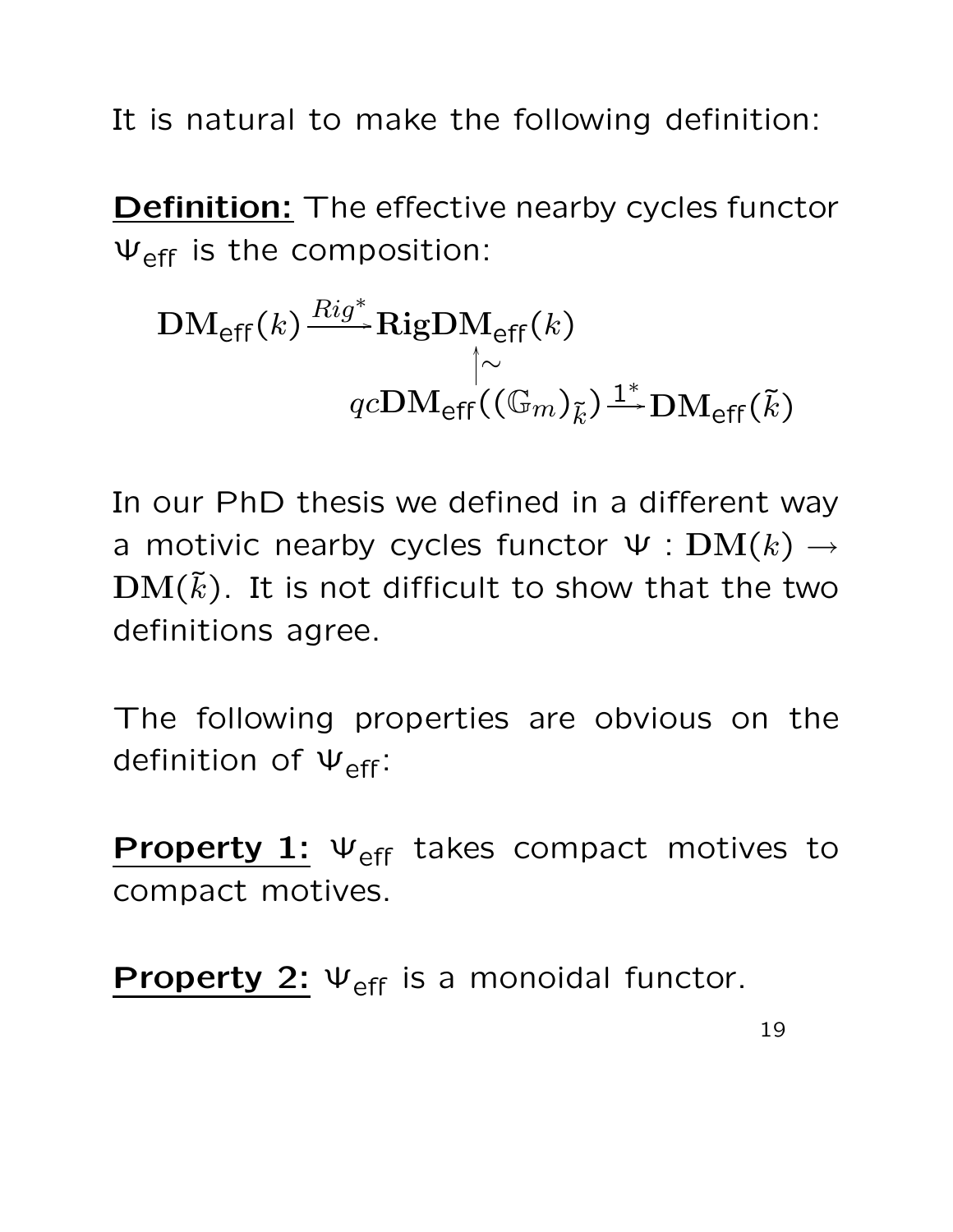It is natural to make the following definition:

**Definition:** The effective nearby cycles functor  $\Psi_{\text{eff}}$  is the composition:

$$
\text{DM}_{\text{eff}}(k) \xrightarrow{Rig^*} \text{RigDM}_{\text{eff}}(k)
$$

$$
\uparrow \sim
$$

$$
qc\text{DM}_{\text{eff}}((\mathbb{G}_m)_{\tilde{k}}) \xrightarrow{1^*} \text{DM}_{\text{eff}}(\tilde{k})
$$

In our PhD thesis we defined in a different way a motivic nearby cycles functor  $\Psi : DM(k) \rightarrow$  $\mathrm{DM}(\tilde{k})$ . It is not difficult to show that the two definitions agree.

The following properties are obvious on the definition of  $\Psi_{eff}$ :

Property 1:  $\Psi_{\text{eff}}$  takes compact motives to compact motives.

**Property 2:**  $\Psi_{\text{eff}}$  is a monoidal functor.